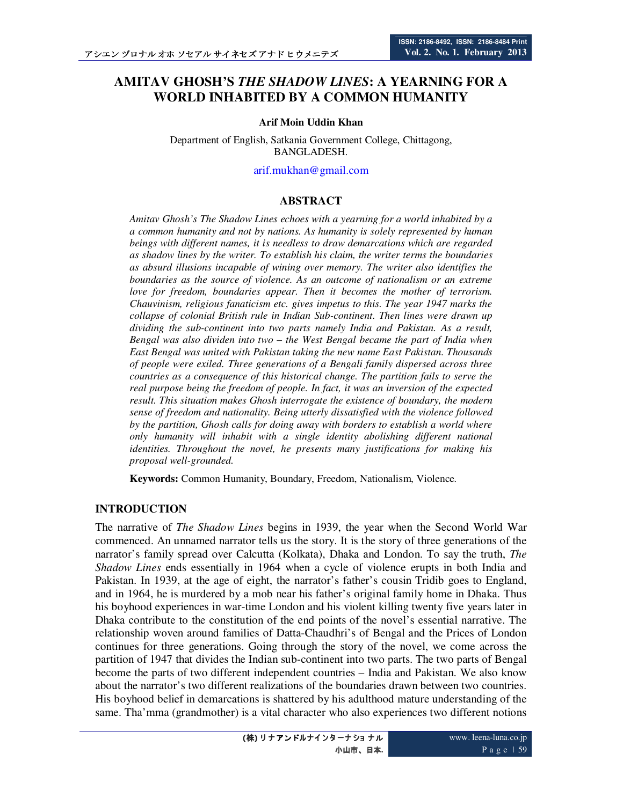# **AMITAV GHOSH'S** *THE SHADOW LINES***: A YEARNING FOR A WORLD INHABITED BY A COMMON HUMANITY**

#### **Arif Moin Uddin Khan**

Department of English, Satkania Government College, Chittagong, BANGLADESH.

#### arif.mukhan@gmail.com

#### **ABSTRACT**

*Amitav Ghosh's The Shadow Lines echoes with a yearning for a world inhabited by a a common humanity and not by nations. As humanity is solely represented by human beings with different names, it is needless to draw demarcations which are regarded as shadow lines by the writer. To establish his claim, the writer terms the boundaries as absurd illusions incapable of wining over memory. The writer also identifies the boundaries as the source of violence. As an outcome of nationalism or an extreme love for freedom, boundaries appear. Then it becomes the mother of terrorism. Chauvinism, religious fanaticism etc. gives impetus to this. The year 1947 marks the collapse of colonial British rule in Indian Sub-continent. Then lines were drawn up dividing the sub-continent into two parts namely India and Pakistan. As a result, Bengal was also dividen into two – the West Bengal became the part of India when East Bengal was united with Pakistan taking the new name East Pakistan. Thousands of people were exiled. Three generations of a Bengali family dispersed across three countries as a consequence of this historical change. The partition fails to serve the real purpose being the freedom of people. In fact, it was an inversion of the expected result. This situation makes Ghosh interrogate the existence of boundary, the modern sense of freedom and nationality. Being utterly dissatisfied with the violence followed by the partition, Ghosh calls for doing away with borders to establish a world where only humanity will inhabit with a single identity abolishing different national identities. Throughout the novel, he presents many justifications for making his proposal well-grounded.* 

**Keywords:** Common Humanity, Boundary, Freedom, Nationalism, Violence.

#### **INTRODUCTION**

The narrative of *The Shadow Lines* begins in 1939, the year when the Second World War commenced. An unnamed narrator tells us the story. It is the story of three generations of the narrator's family spread over Calcutta (Kolkata), Dhaka and London. To say the truth, *The Shadow Lines* ends essentially in 1964 when a cycle of violence erupts in both India and Pakistan. In 1939, at the age of eight, the narrator's father's cousin Tridib goes to England, and in 1964, he is murdered by a mob near his father's original family home in Dhaka. Thus his boyhood experiences in war-time London and his violent killing twenty five years later in Dhaka contribute to the constitution of the end points of the novel's essential narrative. The relationship woven around families of Datta-Chaudhri's of Bengal and the Prices of London continues for three generations. Going through the story of the novel, we come across the partition of 1947 that divides the Indian sub-continent into two parts. The two parts of Bengal become the parts of two different independent countries – India and Pakistan. We also know about the narrator's two different realizations of the boundaries drawn between two countries. His boyhood belief in demarcations is shattered by his adulthood mature understanding of the same. Tha'mma (grandmother) is a vital character who also experiences two different notions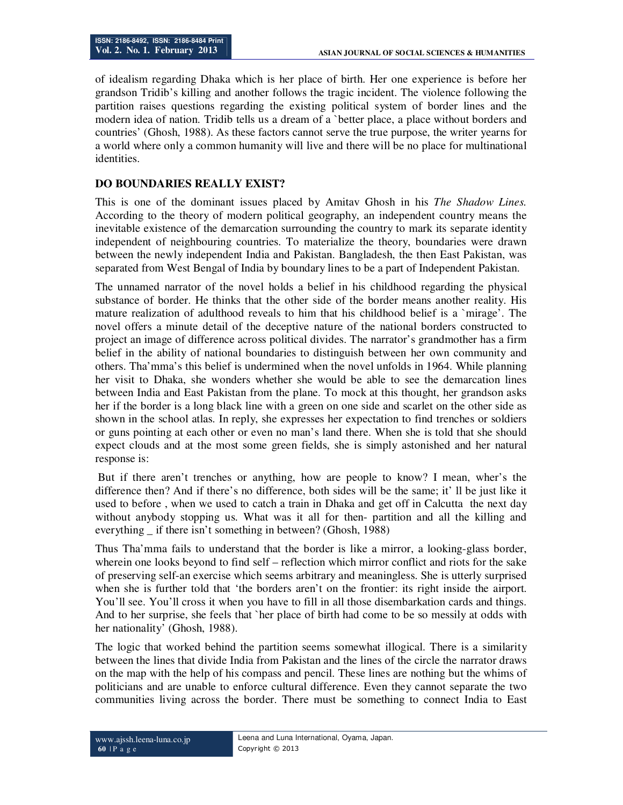of idealism regarding Dhaka which is her place of birth. Her one experience is before her grandson Tridib's killing and another follows the tragic incident. The violence following the partition raises questions regarding the existing political system of border lines and the modern idea of nation. Tridib tells us a dream of a `better place, a place without borders and countries' (Ghosh, 1988). As these factors cannot serve the true purpose, the writer yearns for a world where only a common humanity will live and there will be no place for multinational identities.

### **DO BOUNDARIES REALLY EXIST?**

This is one of the dominant issues placed by Amitav Ghosh in his *The Shadow Lines.* According to the theory of modern political geography, an independent country means the inevitable existence of the demarcation surrounding the country to mark its separate identity independent of neighbouring countries. To materialize the theory, boundaries were drawn between the newly independent India and Pakistan. Bangladesh, the then East Pakistan, was separated from West Bengal of India by boundary lines to be a part of Independent Pakistan.

The unnamed narrator of the novel holds a belief in his childhood regarding the physical substance of border. He thinks that the other side of the border means another reality. His mature realization of adulthood reveals to him that his childhood belief is a `mirage'. The novel offers a minute detail of the deceptive nature of the national borders constructed to project an image of difference across political divides. The narrator's grandmother has a firm belief in the ability of national boundaries to distinguish between her own community and others. Tha'mma's this belief is undermined when the novel unfolds in 1964. While planning her visit to Dhaka, she wonders whether she would be able to see the demarcation lines between India and East Pakistan from the plane. To mock at this thought, her grandson asks her if the border is a long black line with a green on one side and scarlet on the other side as shown in the school atlas. In reply, she expresses her expectation to find trenches or soldiers or guns pointing at each other or even no man's land there. When she is told that she should expect clouds and at the most some green fields, she is simply astonished and her natural response is:

 But if there aren't trenches or anything, how are people to know? I mean, wher's the difference then? And if there's no difference, both sides will be the same; it' ll be just like it used to before , when we used to catch a train in Dhaka and get off in Calcutta the next day without anybody stopping us. What was it all for then- partition and all the killing and everything \_ if there isn't something in between? (Ghosh, 1988)

Thus Tha'mma fails to understand that the border is like a mirror, a looking-glass border, wherein one looks beyond to find self – reflection which mirror conflict and riots for the sake of preserving self-an exercise which seems arbitrary and meaningless. She is utterly surprised when she is further told that 'the borders aren't on the frontier: its right inside the airport. You'll see. You'll cross it when you have to fill in all those disembarkation cards and things. And to her surprise, she feels that `her place of birth had come to be so messily at odds with her nationality' (Ghosh, 1988).

The logic that worked behind the partition seems somewhat illogical. There is a similarity between the lines that divide India from Pakistan and the lines of the circle the narrator draws on the map with the help of his compass and pencil. These lines are nothing but the whims of politicians and are unable to enforce cultural difference. Even they cannot separate the two communities living across the border. There must be something to connect India to East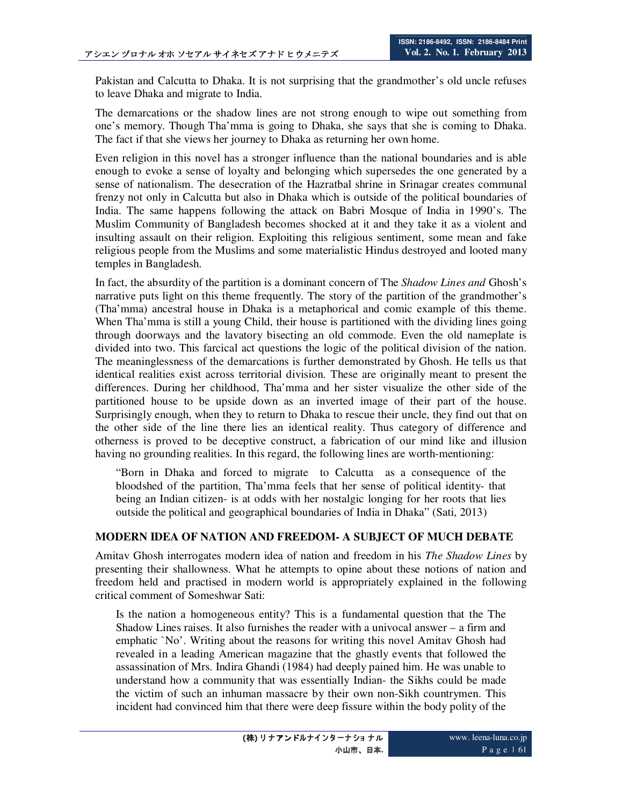Pakistan and Calcutta to Dhaka. It is not surprising that the grandmother's old uncle refuses to leave Dhaka and migrate to India.

The demarcations or the shadow lines are not strong enough to wipe out something from one's memory. Though Tha'mma is going to Dhaka, she says that she is coming to Dhaka. The fact if that she views her journey to Dhaka as returning her own home.

Even religion in this novel has a stronger influence than the national boundaries and is able enough to evoke a sense of loyalty and belonging which supersedes the one generated by a sense of nationalism. The desecration of the Hazratbal shrine in Srinagar creates communal frenzy not only in Calcutta but also in Dhaka which is outside of the political boundaries of India. The same happens following the attack on Babri Mosque of India in 1990's. The Muslim Community of Bangladesh becomes shocked at it and they take it as a violent and insulting assault on their religion. Exploiting this religious sentiment, some mean and fake religious people from the Muslims and some materialistic Hindus destroyed and looted many temples in Bangladesh.

In fact, the absurdity of the partition is a dominant concern of The *Shadow Lines and* Ghosh's narrative puts light on this theme frequently. The story of the partition of the grandmother's (Tha'mma) ancestral house in Dhaka is a metaphorical and comic example of this theme. When Tha'mma is still a young Child, their house is partitioned with the dividing lines going through doorways and the lavatory bisecting an old commode. Even the old nameplate is divided into two. This farcical act questions the logic of the political division of the nation. The meaninglessness of the demarcations is further demonstrated by Ghosh. He tells us that identical realities exist across territorial division. These are originally meant to present the differences. During her childhood, Tha'mma and her sister visualize the other side of the partitioned house to be upside down as an inverted image of their part of the house. Surprisingly enough, when they to return to Dhaka to rescue their uncle, they find out that on the other side of the line there lies an identical reality. Thus category of difference and otherness is proved to be deceptive construct, a fabrication of our mind like and illusion having no grounding realities. In this regard, the following lines are worth-mentioning:

"Born in Dhaka and forced to migrate to Calcutta as a consequence of the bloodshed of the partition, Tha'mma feels that her sense of political identity- that being an Indian citizen- is at odds with her nostalgic longing for her roots that lies outside the political and geographical boundaries of India in Dhaka" (Sati, 2013)

# **MODERN IDEA OF NATION AND FREEDOM- A SUBJECT OF MUCH DEBATE**

Amitav Ghosh interrogates modern idea of nation and freedom in his *The Shadow Lines* by presenting their shallowness. What he attempts to opine about these notions of nation and freedom held and practised in modern world is appropriately explained in the following critical comment of Someshwar Sati:

Is the nation a homogeneous entity? This is a fundamental question that the The Shadow Lines raises. It also furnishes the reader with a univocal answer – a firm and emphatic `No'. Writing about the reasons for writing this novel Amitav Ghosh had revealed in a leading American magazine that the ghastly events that followed the assassination of Mrs. Indira Ghandi (1984) had deeply pained him. He was unable to understand how a community that was essentially Indian- the Sikhs could be made the victim of such an inhuman massacre by their own non-Sikh countrymen. This incident had convinced him that there were deep fissure within the body polity of the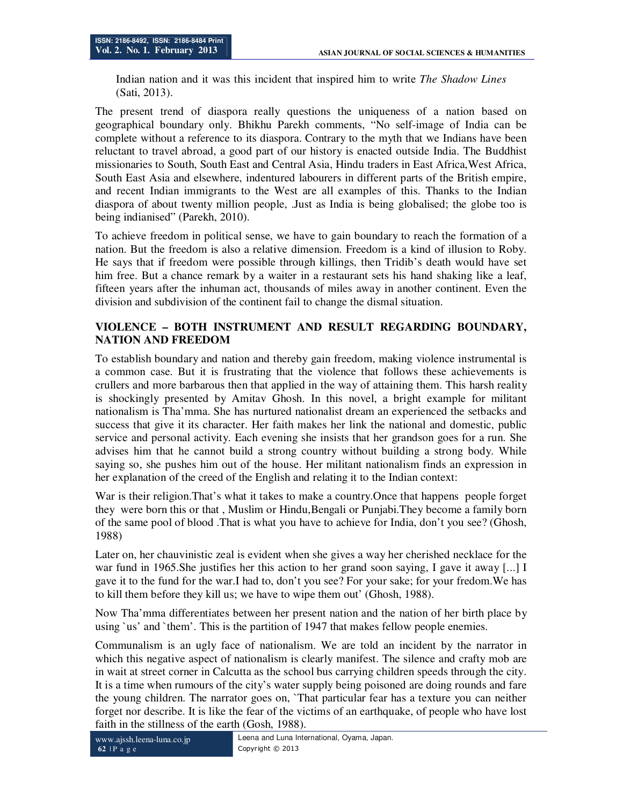Indian nation and it was this incident that inspired him to write *The Shadow Lines*  (Sati, 2013).

The present trend of diaspora really questions the uniqueness of a nation based on geographical boundary only. Bhikhu Parekh comments, "No self-image of India can be complete without a reference to its diaspora. Contrary to the myth that we Indians have been reluctant to travel abroad, a good part of our history is enacted outside India. The Buddhist missionaries to South, South East and Central Asia, Hindu traders in East Africa, West Africa, South East Asia and elsewhere, indentured labourers in different parts of the British empire, and recent Indian immigrants to the West are all examples of this. Thanks to the Indian diaspora of about twenty million people, .Just as India is being globalised; the globe too is being indianised" (Parekh, 2010).

To achieve freedom in political sense, we have to gain boundary to reach the formation of a nation. But the freedom is also a relative dimension. Freedom is a kind of illusion to Roby. He says that if freedom were possible through killings, then Tridib's death would have set him free. But a chance remark by a waiter in a restaurant sets his hand shaking like a leaf, fifteen years after the inhuman act, thousands of miles away in another continent. Even the division and subdivision of the continent fail to change the dismal situation.

# **VIOLENCE – BOTH INSTRUMENT AND RESULT REGARDING BOUNDARY, NATION AND FREEDOM**

To establish boundary and nation and thereby gain freedom, making violence instrumental is a common case. But it is frustrating that the violence that follows these achievements is crullers and more barbarous then that applied in the way of attaining them. This harsh reality is shockingly presented by Amitav Ghosh. In this novel, a bright example for militant nationalism is Tha'mma. She has nurtured nationalist dream an experienced the setbacks and success that give it its character. Her faith makes her link the national and domestic, public service and personal activity. Each evening she insists that her grandson goes for a run. She advises him that he cannot build a strong country without building a strong body. While saying so, she pushes him out of the house. Her militant nationalism finds an expression in her explanation of the creed of the English and relating it to the Indian context:

War is their religion.That's what it takes to make a country.Once that happens people forget they were born this or that , Muslim or Hindu,Bengali or Punjabi.They become a family born of the same pool of blood .That is what you have to achieve for India, don't you see? (Ghosh, 1988)

Later on, her chauvinistic zeal is evident when she gives a way her cherished necklace for the war fund in 1965.She justifies her this action to her grand soon saying, I gave it away [...] I gave it to the fund for the war.I had to, don't you see? For your sake; for your fredom.We has to kill them before they kill us; we have to wipe them out' (Ghosh, 1988).

Now Tha'mma differentiates between her present nation and the nation of her birth place by using `us' and `them'. This is the partition of 1947 that makes fellow people enemies.

Communalism is an ugly face of nationalism. We are told an incident by the narrator in which this negative aspect of nationalism is clearly manifest. The silence and crafty mob are in wait at street corner in Calcutta as the school bus carrying children speeds through the city. It is a time when rumours of the city's water supply being poisoned are doing rounds and fare the young children. The narrator goes on, `That particular fear has a texture you can neither forget nor describe. It is like the fear of the victims of an earthquake, of people who have lost faith in the stillness of the earth (Gosh, 1988).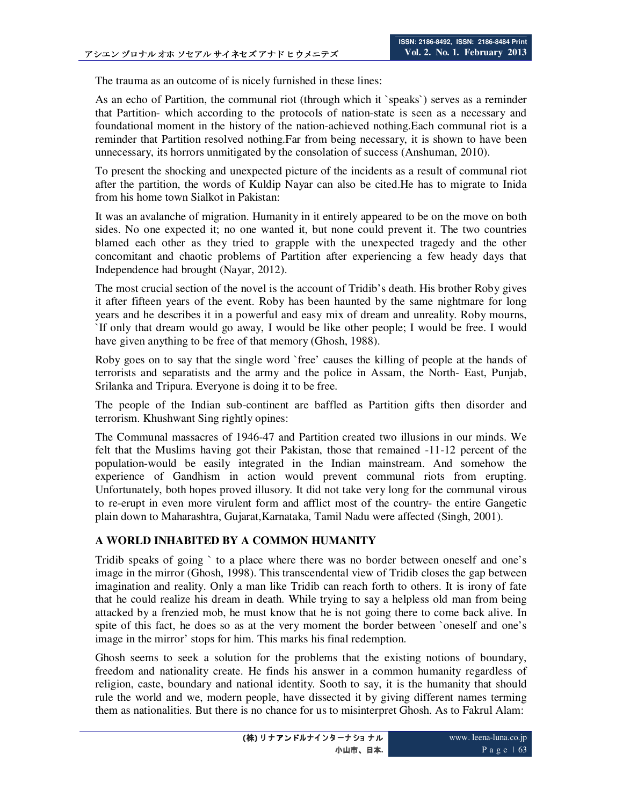The trauma as an outcome of is nicely furnished in these lines:

As an echo of Partition, the communal riot (through which it `speaks`) serves as a reminder that Partition- which according to the protocols of nation-state is seen as a necessary and foundational moment in the history of the nation-achieved nothing.Each communal riot is a reminder that Partition resolved nothing.Far from being necessary, it is shown to have been unnecessary, its horrors unmitigated by the consolation of success (Anshuman, 2010).

To present the shocking and unexpected picture of the incidents as a result of communal riot after the partition, the words of Kuldip Nayar can also be cited.He has to migrate to Inida from his home town Sialkot in Pakistan:

It was an avalanche of migration. Humanity in it entirely appeared to be on the move on both sides. No one expected it; no one wanted it, but none could prevent it. The two countries blamed each other as they tried to grapple with the unexpected tragedy and the other concomitant and chaotic problems of Partition after experiencing a few heady days that Independence had brought (Nayar, 2012).

The most crucial section of the novel is the account of Tridib's death. His brother Roby gives it after fifteen years of the event. Roby has been haunted by the same nightmare for long years and he describes it in a powerful and easy mix of dream and unreality. Roby mourns, `If only that dream would go away, I would be like other people; I would be free. I would have given anything to be free of that memory (Ghosh, 1988).

Roby goes on to say that the single word `free' causes the killing of people at the hands of terrorists and separatists and the army and the police in Assam, the North- East, Punjab, Srilanka and Tripura. Everyone is doing it to be free.

The people of the Indian sub-continent are baffled as Partition gifts then disorder and terrorism. Khushwant Sing rightly opines:

The Communal massacres of 1946-47 and Partition created two illusions in our minds. We felt that the Muslims having got their Pakistan, those that remained -11-12 percent of the population-would be easily integrated in the Indian mainstream. And somehow the experience of Gandhism in action would prevent communal riots from erupting. Unfortunately, both hopes proved illusory. It did not take very long for the communal virous to re-erupt in even more virulent form and afflict most of the country- the entire Gangetic plain down to Maharashtra, Gujarat,Karnataka, Tamil Nadu were affected (Singh, 2001).

# **A WORLD INHABITED BY A COMMON HUMANITY**

Tridib speaks of going ` to a place where there was no border between oneself and one's image in the mirror (Ghosh, 1998). This transcendental view of Tridib closes the gap between imagination and reality. Only a man like Tridib can reach forth to others. It is irony of fate that he could realize his dream in death. While trying to say a helpless old man from being attacked by a frenzied mob, he must know that he is not going there to come back alive. In spite of this fact, he does so as at the very moment the border between `oneself and one's image in the mirror' stops for him. This marks his final redemption.

Ghosh seems to seek a solution for the problems that the existing notions of boundary, freedom and nationality create. He finds his answer in a common humanity regardless of religion, caste, boundary and national identity. Sooth to say, it is the humanity that should rule the world and we, modern people, have dissected it by giving different names terming them as nationalities. But there is no chance for us to misinterpret Ghosh. As to Fakrul Alam: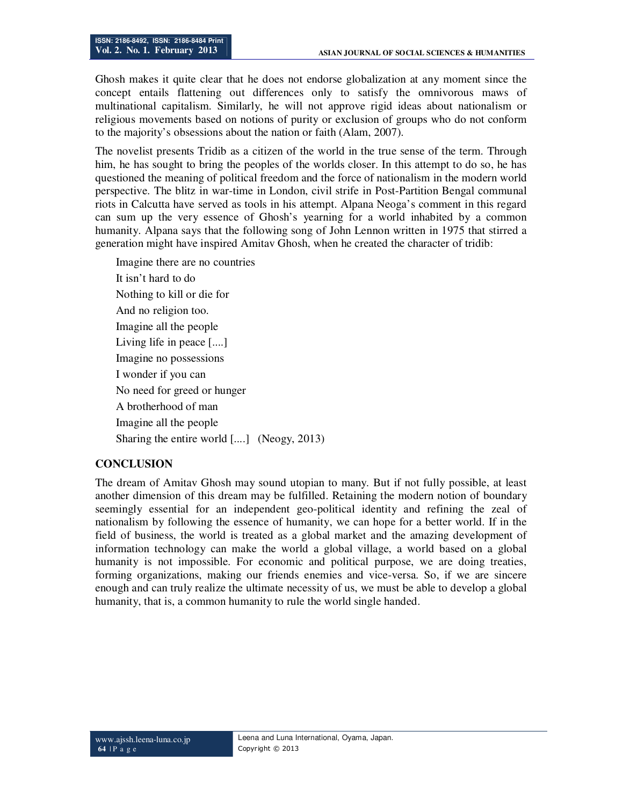Ghosh makes it quite clear that he does not endorse globalization at any moment since the concept entails flattening out differences only to satisfy the omnivorous maws of multinational capitalism. Similarly, he will not approve rigid ideas about nationalism or religious movements based on notions of purity or exclusion of groups who do not conform to the majority's obsessions about the nation or faith (Alam, 2007).

The novelist presents Tridib as a citizen of the world in the true sense of the term. Through him, he has sought to bring the peoples of the worlds closer. In this attempt to do so, he has questioned the meaning of political freedom and the force of nationalism in the modern world perspective. The blitz in war-time in London, civil strife in Post-Partition Bengal communal riots in Calcutta have served as tools in his attempt. Alpana Neoga's comment in this regard can sum up the very essence of Ghosh's yearning for a world inhabited by a common humanity. Alpana says that the following song of John Lennon written in 1975 that stirred a generation might have inspired Amitav Ghosh, when he created the character of tridib:

Imagine there are no countries It isn't hard to do Nothing to kill or die for And no religion too. Imagine all the people Living life in peace [....] Imagine no possessions I wonder if you can No need for greed or hunger A brotherhood of man Imagine all the people Sharing the entire world [....] (Neogy, 2013)

#### **CONCLUSION**

The dream of Amitav Ghosh may sound utopian to many. But if not fully possible, at least another dimension of this dream may be fulfilled. Retaining the modern notion of boundary seemingly essential for an independent geo-political identity and refining the zeal of nationalism by following the essence of humanity, we can hope for a better world. If in the field of business, the world is treated as a global market and the amazing development of information technology can make the world a global village, a world based on a global humanity is not impossible. For economic and political purpose, we are doing treaties, forming organizations, making our friends enemies and vice-versa. So, if we are sincere enough and can truly realize the ultimate necessity of us, we must be able to develop a global humanity, that is, a common humanity to rule the world single handed.